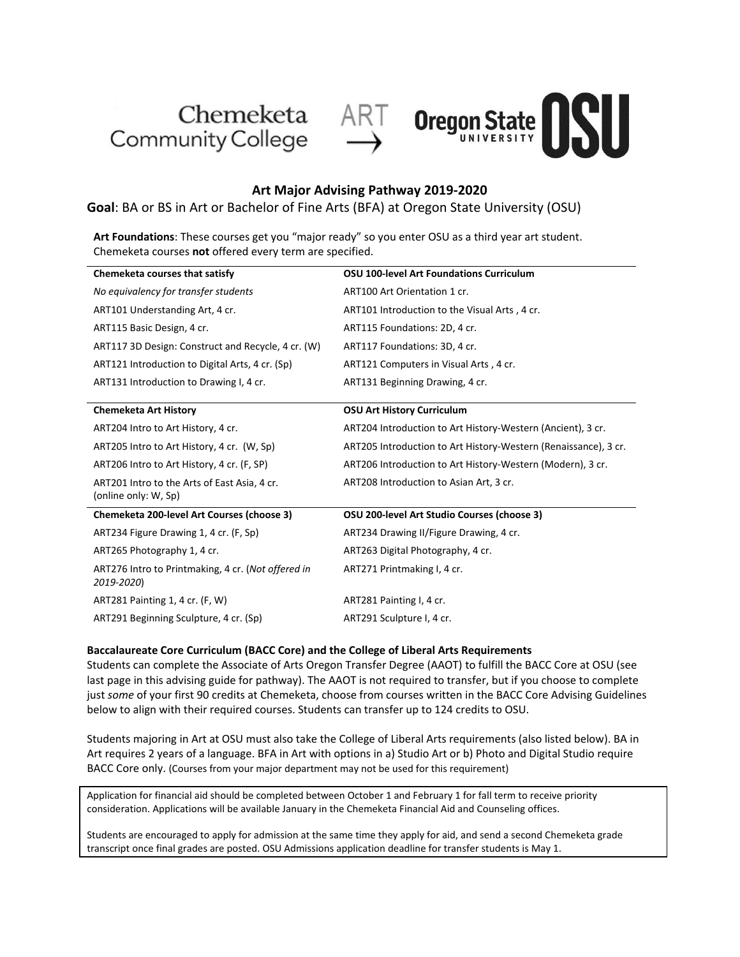





## **Art Major Advising Pathway 2019-2020**

**Goal**: BA or BS in Art or Bachelor of Fine Arts (BFA) at Oregon State University (OSU)

**Art Foundations**: These courses get you "major ready" so you enter OSU as a third year art student. Chemeketa courses **not** offered every term are specified.

| Chemeketa courses that satisfy                                       | OSU 100-level Art Foundations Curriculum                        |
|----------------------------------------------------------------------|-----------------------------------------------------------------|
| No equivalency for transfer students                                 | ART100 Art Orientation 1 cr.                                    |
| ART101 Understanding Art, 4 cr.                                      | ART101 Introduction to the Visual Arts, 4 cr.                   |
| ART115 Basic Design, 4 cr.                                           | ART115 Foundations: 2D, 4 cr.                                   |
| ART117 3D Design: Construct and Recycle, 4 cr. (W)                   | ART117 Foundations: 3D, 4 cr.                                   |
| ART121 Introduction to Digital Arts, 4 cr. (Sp)                      | ART121 Computers in Visual Arts, 4 cr.                          |
| ART131 Introduction to Drawing I, 4 cr.                              | ART131 Beginning Drawing, 4 cr.                                 |
|                                                                      |                                                                 |
| <b>Chemeketa Art History</b>                                         | <b>OSU Art History Curriculum</b>                               |
| ART204 Intro to Art History, 4 cr.                                   | ART204 Introduction to Art History-Western (Ancient), 3 cr.     |
| ART205 Intro to Art History, 4 cr. (W, Sp)                           | ART205 Introduction to Art History-Western (Renaissance), 3 cr. |
| ART206 Intro to Art History, 4 cr. (F, SP)                           | ART206 Introduction to Art History-Western (Modern), 3 cr.      |
| ART201 Intro to the Arts of East Asia, 4 cr.<br>(online only: W, Sp) | ART208 Introduction to Asian Art, 3 cr.                         |
| <b>Chemeketa 200-level Art Courses (choose 3)</b>                    | OSU 200-level Art Studio Courses (choose 3)                     |
| ART234 Figure Drawing 1, 4 cr. (F, Sp)                               | ART234 Drawing II/Figure Drawing, 4 cr.                         |
| ART265 Photography 1, 4 cr.                                          | ART263 Digital Photography, 4 cr.                               |
| ART276 Intro to Printmaking, 4 cr. (Not offered in<br>2019-2020)     | ART271 Printmaking I, 4 cr.                                     |
| ART281 Painting 1, 4 cr. (F, W)                                      | ART281 Painting I, 4 cr.                                        |
| ART291 Beginning Sculpture, 4 cr. (Sp)                               | ART291 Sculpture I, 4 cr.                                       |

### **Baccalaureate Core Curriculum (BACC Core) and the College of Liberal Arts Requirements**

Students can complete the Associate of Arts Oregon Transfer Degree (AAOT) to fulfill the BACC Core at OSU (see last page in this advising guide for pathway). The AAOT is not required to transfer, but if you choose to complete just *some* of your first 90 credits at Chemeketa, choose from courses written in the BACC Core Advising Guidelines below to align with their required courses. Students can transfer up to 124 credits to OSU.

Students majoring in Art at OSU must also take the College of Liberal Arts requirements (also listed below). BA in Art requires 2 years of a language. BFA in Art with options in a) Studio Art or b) Photo and Digital Studio require BACC Core only. (Courses from your major department may not be used for this requirement)

Application for financial aid should be completed between October 1 and February 1 for fall term to receive priority consideration. Applications will be available January in the Chemeketa Financial Aid and Counseling offices.

Students are encouraged to apply for admission at the same time they apply for aid, and send a second Chemeketa grade transcript once final grades are posted. OSU Admissions application deadline for transfer students is May 1.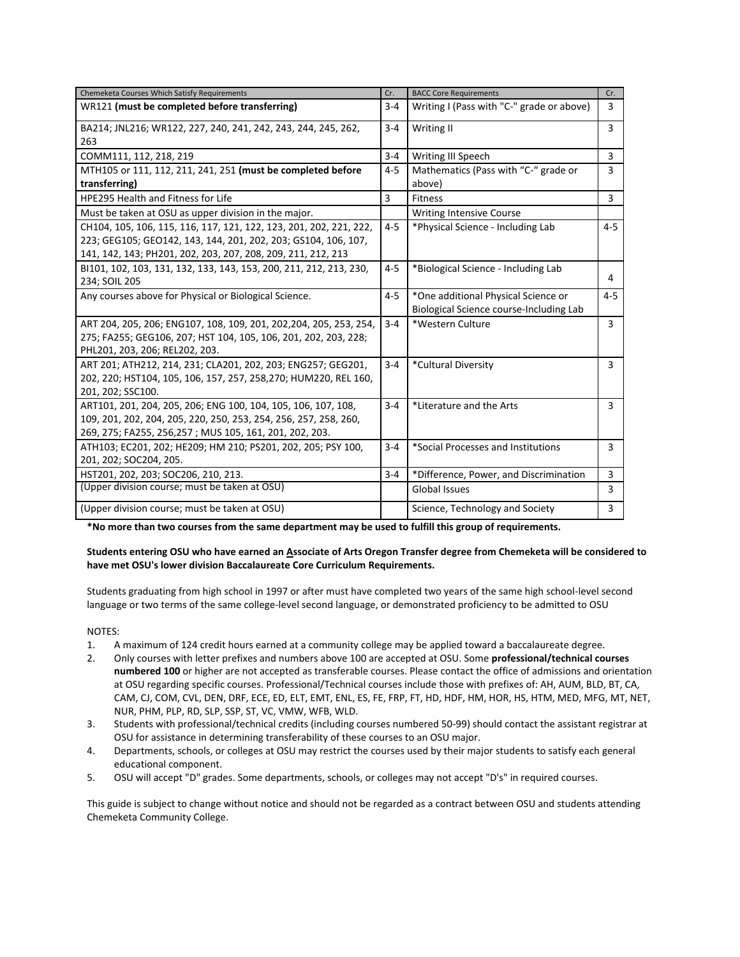| Chemeketa Courses Which Satisfy Requirements                       | Cr.     | <b>BACC Core Requirements</b>             | Cr.            |
|--------------------------------------------------------------------|---------|-------------------------------------------|----------------|
| WR121 (must be completed before transferring)                      | $3 - 4$ | Writing I (Pass with "C-" grade or above) | 3              |
| BA214; JNL216; WR122, 227, 240, 241, 242, 243, 244, 245, 262,      | $3 - 4$ | Writing II                                | 3              |
| 263                                                                |         |                                           |                |
| COMM111, 112, 218, 219                                             | $3 - 4$ | Writing III Speech                        | 3              |
| MTH105 or 111, 112, 211, 241, 251 (must be completed before        | $4 - 5$ | Mathematics (Pass with "C-" grade or      | 3              |
| transferring)                                                      |         | above)                                    |                |
| <b>HPE295 Health and Fitness for Life</b>                          | 3       | <b>Fitness</b>                            | $\overline{3}$ |
| Must be taken at OSU as upper division in the major.               |         | <b>Writing Intensive Course</b>           |                |
| CH104, 105, 106, 115, 116, 117, 121, 122, 123, 201, 202, 221, 222, | $4 - 5$ | *Physical Science - Including Lab         | $4 - 5$        |
| 223; GEG105; GEO142, 143, 144, 201, 202, 203; GS104, 106, 107,     |         |                                           |                |
| 141, 142, 143; PH201, 202, 203, 207, 208, 209, 211, 212, 213       |         |                                           |                |
| B1101, 102, 103, 131, 132, 133, 143, 153, 200, 211, 212, 213, 230, | $4 - 5$ | *Biological Science - Including Lab       |                |
| 234; SOIL 205                                                      |         |                                           | 4              |
| Any courses above for Physical or Biological Science.              | $4 - 5$ | *One additional Physical Science or       | $4 - 5$        |
|                                                                    |         | Biological Science course-Including Lab   |                |
| ART 204, 205, 206; ENG107, 108, 109, 201, 202, 204, 205, 253, 254, | $3 - 4$ | *Western Culture                          | 3              |
| 275; FA255; GEG106, 207; HST 104, 105, 106, 201, 202, 203, 228;    |         |                                           |                |
| PHL201, 203, 206; REL202, 203.                                     |         |                                           |                |
| ART 201; ATH212, 214, 231; CLA201, 202, 203; ENG257; GEG201,       | $3 - 4$ | *Cultural Diversity                       | 3              |
| 202, 220; HST104, 105, 106, 157, 257, 258, 270; HUM220, REL 160,   |         |                                           |                |
| 201, 202; SSC100.                                                  |         |                                           |                |
| ART101, 201, 204, 205, 206; ENG 100, 104, 105, 106, 107, 108,      | $3 - 4$ | *Literature and the Arts                  | 3              |
| 109, 201, 202, 204, 205, 220, 250, 253, 254, 256, 257, 258, 260,   |         |                                           |                |
| 269, 275; FA255, 256,257; MUS 105, 161, 201, 202, 203.             |         |                                           |                |
| ATH103; EC201, 202; HE209; HM 210; PS201, 202, 205; PSY 100,       | $3 - 4$ | *Social Processes and Institutions        | 3              |
| 201, 202; SOC204, 205.                                             |         |                                           |                |
| HST201, 202, 203; SOC206, 210, 213.                                | $3 - 4$ | *Difference, Power, and Discrimination    | 3              |
| (Upper division course; must be taken at OSU)                      |         | <b>Global Issues</b>                      | 3              |
| (Upper division course; must be taken at OSU)                      |         | Science, Technology and Society           | 3              |

**\*No more than two courses from the same department may be used to fulfill this group of requirements.**

### **Students entering OSU who have earned an Associate of Arts Oregon Transfer degree from Chemeketa will be considered to have met OSU's lower division Baccalaureate Core Curriculum Requirements.**

Students graduating from high school in 1997 or after must have completed two years of the same high school-level second language or two terms of the same college-level second language, or demonstrated proficiency to be admitted to OSU

NOTES:

- 1. A maximum of 124 credit hours earned at a community college may be applied toward a baccalaureate degree.
- 2. Only courses with letter prefixes and numbers above 100 are accepted at OSU. Some **professional/technical courses numbered 100** or higher are not accepted as transferable courses. Please contact the office of admissions and orientation at OSU regarding specific courses. Professional/Technical courses include those with prefixes of: AH, AUM, BLD, BT, CA, CAM, CJ, COM, CVL, DEN, DRF, ECE, ED, ELT, EMT, ENL, ES, FE, FRP, FT, HD, HDF, HM, HOR, HS, HTM, MED, MFG, MT, NET, NUR, PHM, PLP, RD, SLP, SSP, ST, VC, VMW, WFB, WLD.
- 3. Students with professional/technical credits (including courses numbered 50-99) should contact the assistant registrar at OSU for assistance in determining transferability of these courses to an OSU major.
- 4. Departments, schools, or colleges at OSU may restrict the courses used by their major students to satisfy each general educational component.
- 5. OSU will accept "D" grades. Some departments, schools, or colleges may not accept "D's" in required courses.

This guide is subject to change without notice and should not be regarded as a contract between OSU and students attending Chemeketa Community College.